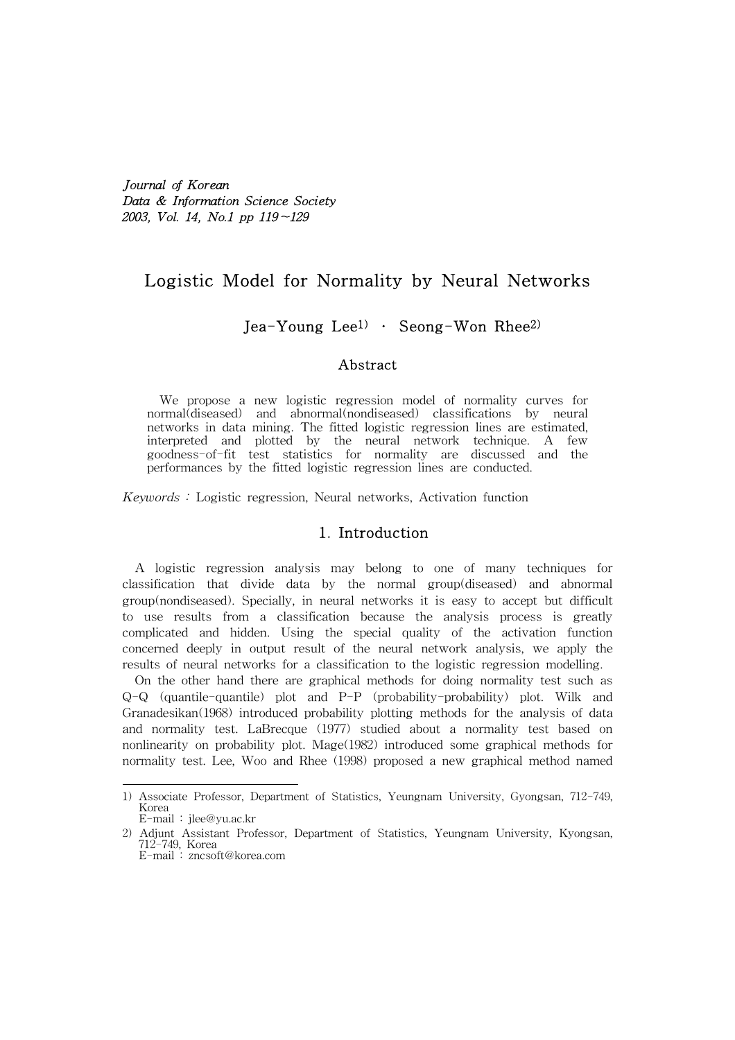Journal of Korean Data & Information Science Society 2003, Vol. 14, No.1 pp 119∼129

# Logistic Model for Normality by Neural Networks

## Jea-Young Lee<sup>1)</sup> • Seong-Won Rhee<sup>2)</sup>

### Abstract

We propose a new logistic regression model of normality curves for normal(diseased) and abnormal(nondiseased) classifications by neural networks in data mining. The fitted logistic regression lines are estimated, interpreted and plotted by the neural network technique. A few goodness-of-fit test statistics for normality are discussed and the performances by the fitted logistic regression lines are conducted.

Keywords : Logistic regression, Neural networks, Activation function

## 1. Introduction

A logistic regression analysis may belong to one of many techniques for classification that divide data by the normal group(diseased) and abnormal group(nondiseased). Specially, in neural networks it is easy to accept but difficult to use results from a classification because the analysis process is greatly complicated and hidden. Using the special quality of the activation function concerned deeply in output result of the neural network analysis, we apply the results of neural networks for a classification to the logistic regression modelling.

On the other hand there are graphical methods for doing normality test such as Q-Q (quantile-quantile) plot and P-P (probability-probability) plot. Wilk and Granadesikan(1968) introduced probability plotting methods for the analysis of data and normality test. LaBrecque (1977) studied about a normality test based on nonlinearity on probability plot. Mage(1982) introduced some graphical methods for normality test. Lee, Woo and Rhee (1998) proposed a new graphical method named

<sup>1)</sup> Associate Professor, Department of Statistics, Yeungnam University, Gyongsan, 712-749, Korea E-mail : jlee@yu.ac.kr

<sup>2)</sup> Adjunt Assistant Professor, Department of Statistics, Yeungnam University, Kyongsan, 712-749, Korea E-mail : zncsoft@korea.com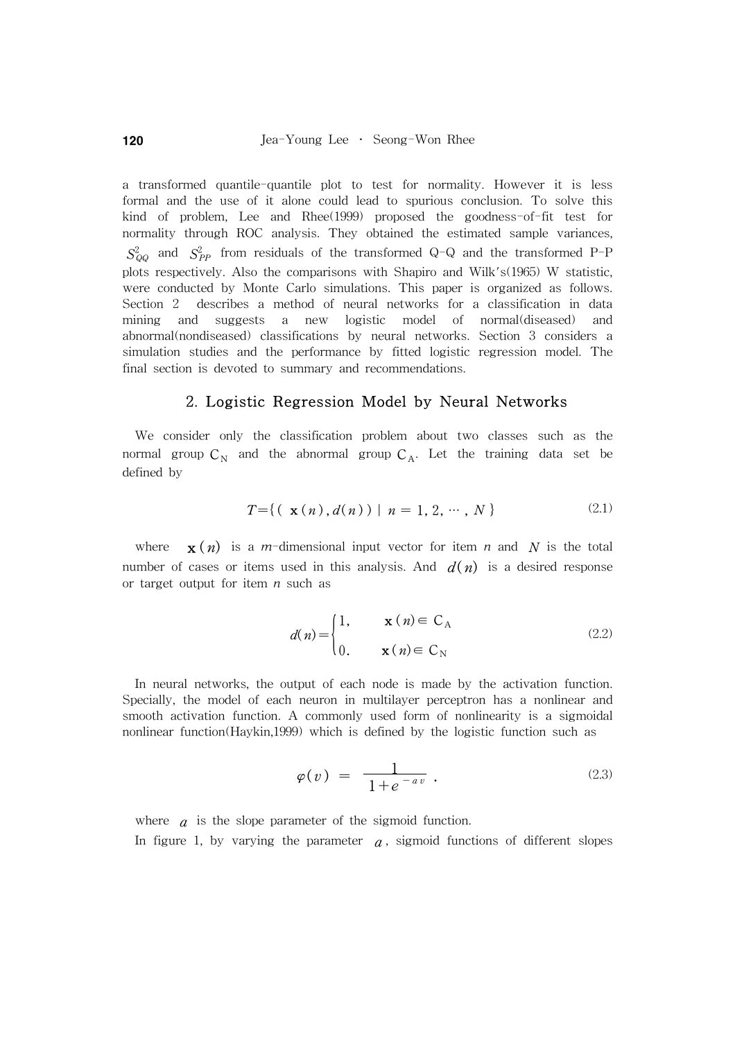a transformed quantile-quantile plot to test for normality. However it is less formal and the use of it alone could lead to spurious conclusion. To solve this kind of problem, Lee and Rhee(1999) proposed the goodness-of-fit test for normality through ROC analysis. They obtained the estimated sample variances,  $S_{QQ}^2$  and  $S_{PP}^2$  from residuals of the transformed Q-Q and the transformed P-P plots respectively. Also the comparisons with Shapiro and Wilk's(1965) W statistic, were conducted by Monte Carlo simulations. This paper is organized as follows. Section 2 describes a method of neural networks for a classification in data mining and suggests a new logistic model of normal(diseased) and abnormal(nondiseased) classifications by neural networks. Section 3 considers a simulation studies and the performance by fitted logistic regression model. The final section is devoted to summary and recommendations.

#### 2. Logistic Regression Model by Neural Networks

We consider only the classification problem about two classes such as the normal group  $C_N$  and the abnormal group  $C_A$ . Let the training data set be defined by

$$
T = \{ (\mathbf{x}(n), d(n)) \mid n = 1, 2, \cdots, N \}
$$
 (2.1)

where  $\mathbf{x}(n)$  is a m-dimensional input vector for item n and N is the total number of cases or items used in this analysis. And  $d(n)$  is a desired response or target output for item  $n$  such as

$$
d(n) = \begin{cases} 1, & \mathbf{x} \ (n) \in C_A \\ 0, & \mathbf{x} \ (n) \in C_N \end{cases} \tag{2.2}
$$

In neural networks, the output of each node is made by the activation function. Specially, the model of each neuron in multilayer perceptron has a nonlinear and smooth activation function. A commonly used form of nonlinearity is a sigmoidal nonlinear function(Haykin,1999) which is defined by the logistic function such as

$$
\varphi(v) = \frac{1}{1 + e^{-av}} \tag{2.3}
$$

where  $\alpha$  is the slope parameter of the sigmoid function. In figure 1, by varying the parameter  $a$ , sigmoid functions of different slopes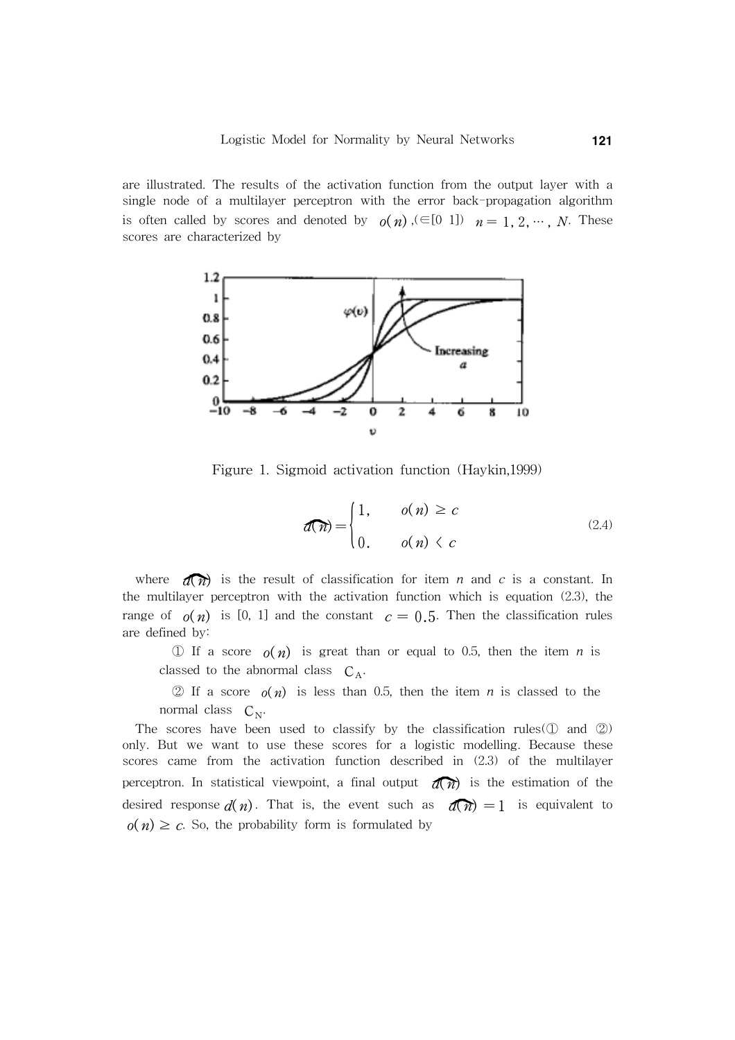are illustrated. The results of the activation function from the output layer with a single node of a multilayer perceptron with the error back-propagation algorithm is often called by scores and denoted by  $o(n)$ ,  $(\in [0 \ 1])$   $n = 1, 2, \dots, N$ . These scores are characterized by



Figure 1. Sigmoid activation function (Haykin,1999)

$$
d(\overline{n}) = \begin{cases} 1, & o(n) \ge c \\ 0, & o(n) \le c \end{cases}
$$
 (2.4)

where  $\widehat{d(n)}$  is the result of classification for item *n* and *c* is a constant. In the multilayer perceptron with the activation function which is equation (2.3), the range of  $o(n)$  is [0, 1] and the constant  $c = 0.5$ . Then the classification rules are defined by:

① If a score  $o(n)$  is great than or equal to 0.5, then the item n is classed to the abnormal class  $C_A$ .

 $\textcircled{2}$  If a score  $o(n)$  is less than 0.5, then the item *n* is classed to the normal class  $C_{N}$ .

The scores have been used to classify by the classification rules( $\mathbb D$  and  $\mathbb Z$ ) only. But we want to use these scores for a logistic modelling. Because these scores came from the activation function described in (2.3) of the multilayer perceptron. In statistical viewpoint, a final output  $\widehat{d(n)}$  is the estimation of the desired response  $d(n)$ . That is, the event such as  $d(n) = 1$  is equivalent to  $o(n) \geq c$ . So, the probability form is formulated by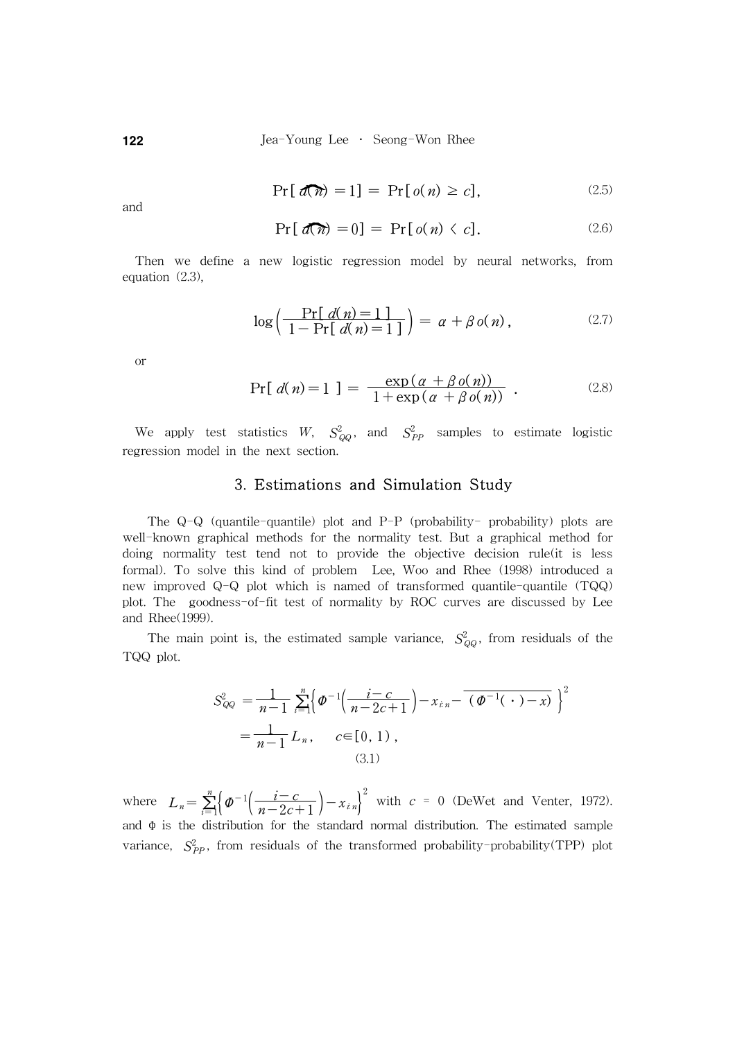122 **Jea-Young Lee** • Seong-Won Rhee

$$
\Pr[\mathbf{d}(\mathbf{n}) = 1] = \Pr[\mathbf{o}(n) \ge c],\tag{2.5}
$$

and

$$
\Pr[\mathbf{d}(\mathbf{M}) = 0] = \Pr[\mathbf{o}(\mathbf{n}) \langle \mathbf{c}]. \tag{2.6}
$$

Then we define a new logistic regression model by neural networks, from equation (2.3),

$$
\log\left(\frac{\Pr[d(n)=1]}{1-\Pr[d(n)=1]}\right) = \alpha + \beta o(n),\qquad (2.7)
$$

or

$$
\Pr[\ d(n) = 1] = \frac{\exp(\alpha + \beta o(n))}{1 + \exp(\alpha + \beta o(n))} \ . \tag{2.8}
$$

We apply test statistics W,  $S_{QQ}^2$ , and  $S_{PP}^2$  samples to estimate logistic regression model in the next section.

## 3. Estimations and Simulation Study

The Q-Q (quantile-quantile) plot and P-P (probability- probability) plots are well-known graphical methods for the normality test. But a graphical method for doing normality test tend not to provide the objective decision rule(it is less formal). To solve this kind of problem Lee, Woo and Rhee (1998) introduced a new improved Q-Q plot which is named of transformed quantile-quantile (TQQ) plot. The goodness-of-fit test of normality by ROC curves are discussed by Lee and Rhee(1999).

The main point is, the estimated sample variance,  $S_{QQ}^2$ , from residuals of the TQQ plot.

$$
S_{QQ}^{2} = \frac{1}{n-1} \sum_{i=1}^{n} \left\{ \varPhi^{-1} \left( \frac{i-c}{n-2c+1} \right) - x_{i n} - \left( \varPhi^{-1} \left( \cdot \right) - x \right) \right\}^{2}
$$

$$
= \frac{1}{n-1} L_{n}, \qquad c \in [0, 1), \qquad (3.1)
$$

where  $L_n = \sum_{i=1}^n \left\{ \varphi^{-1} \left( \frac{i-c}{n-2c+1} \right) - x_{in} \right\}^2$  with  $c = 0$  (DeWet and Venter, 1972). and  $\Phi$  is the distribution for the standard normal distribution. The estimated sample variance,  $S_{PP}^2$ , from residuals of the transformed probability-probability(TPP) plot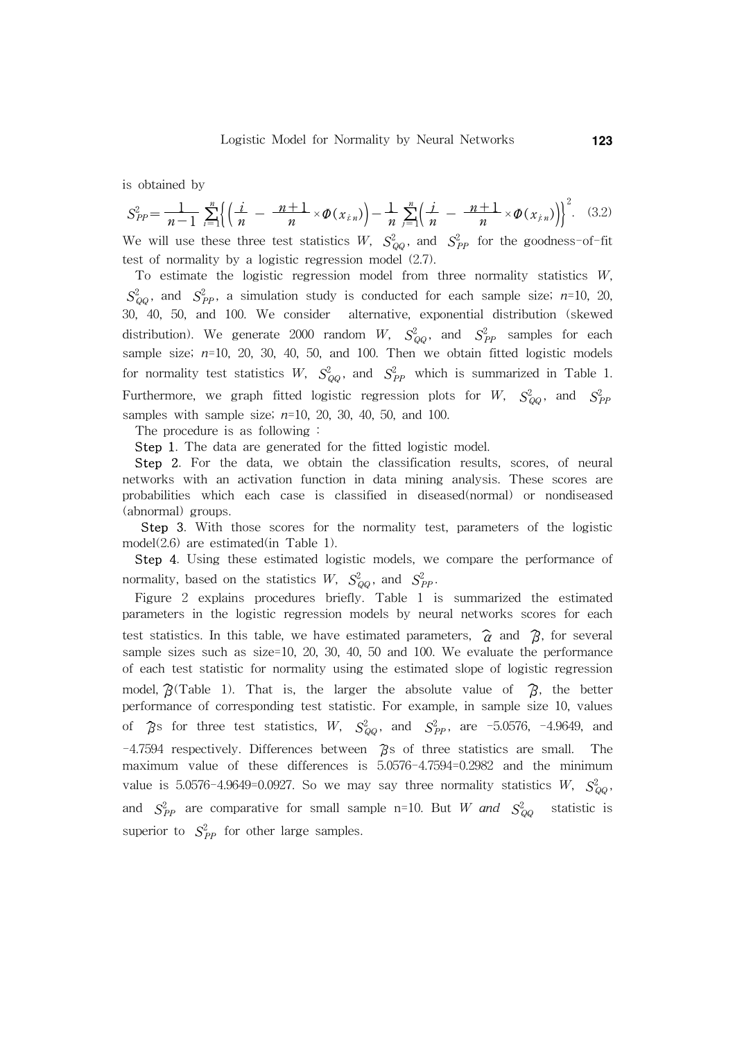is obtained by

$$
S_{PP}^{2} = \frac{1}{n-1} \sum_{i=1}^{n} \left\{ \left( \frac{i}{n} - \frac{n+1}{n} \times \phi(x_{i,n}) \right) - \frac{1}{n} \sum_{j=1}^{n} \left( \frac{i}{n} - \frac{n+1}{n} \times \phi(x_{j,n}) \right) \right\}^{2}.
$$
 (3.2)

We will use these three test statistics W,  $S_{QQ}^2$ , and  $S_{PP}^2$  for the goodness-of-fit test of normality by a logistic regression model (2.7).

To estimate the logistic regression model from three normality statistics  $W$ ,  $S_{QQ}^2$ , and  $S_{PP}^2$ , a simulation study is conducted for each sample size; n=10, 20, 30, 40, 50, and 100. We consider alternative, exponential distribution (skewed distribution). We generate 2000 random  $W$ ,  $S_{QQ}^2$ , and  $S_{PP}^2$  samples for each sample size;  $n=10$ , 20, 30, 40, 50, and 100. Then we obtain fitted logistic models for normality test statistics W,  $S_{QQ}^2$ , and  $S_{PP}^2$  which is summarized in Table 1. Furthermore, we graph fitted logistic regression plots for  $W$ ,  $S^2_{QQ}$ , and  $S^2_{PP}$ samples with sample size;  $n=10$ , 20, 30, 40, 50, and 100.

The procedure is as following :

Step 1. The data are generated for the fitted logistic model.

Step 2. For the data, we obtain the classification results, scores, of neural networks with an activation function in data mining analysis. These scores are probabilities which each case is classified in diseased(normal) or nondiseased (abnormal) groups.

 Step 3. With those scores for the normality test, parameters of the logistic model(2.6) are estimated(in Table 1).

Step 4. Using these estimated logistic models, we compare the performance of normality, based on the statistics  $W$ ,  $S_{QQ}^2$ , and  $S_{PP}^2$ .

Figure 2 explains procedures briefly. Table 1 is summarized the estimated parameters in the logistic regression models by neural networks scores for each test statistics. In this table, we have estimated parameters,  $\hat{\alpha}$  and  $\hat{\beta}$ , for several sample sizes such as size=10, 20, 30, 40, 50 and 100. We evaluate the performance of each test statistic for normality using the estimated slope of logistic regression model,  $\hat{B}$ (Table 1). That is, the larger the absolute value of  $\hat{B}$ , the better performance of corresponding test statistic. For example, in sample size 10, values of  $\hat{\beta}$ s for three test statistics, W,  $S_{QQ}^2$ , and  $S_{PP}^2$ , are -5.0576, -4.9649, and  $-4.7594$  respectively. Differences between  $\hat{\beta}$ s of three statistics are small. The maximum value of these differences is 5.0576-4.7594=0.2982 and the minimum value is 5.0576-4.9649=0.0927. So we may say three normality statistics  $W$ ,  $S_{QQ}^2$ , and  $S_{PP}^2$  are comparative for small sample n=10. But W and  $S_{Q}^2$ statistic is superior to  $S_{PP}^2$  for other large samples.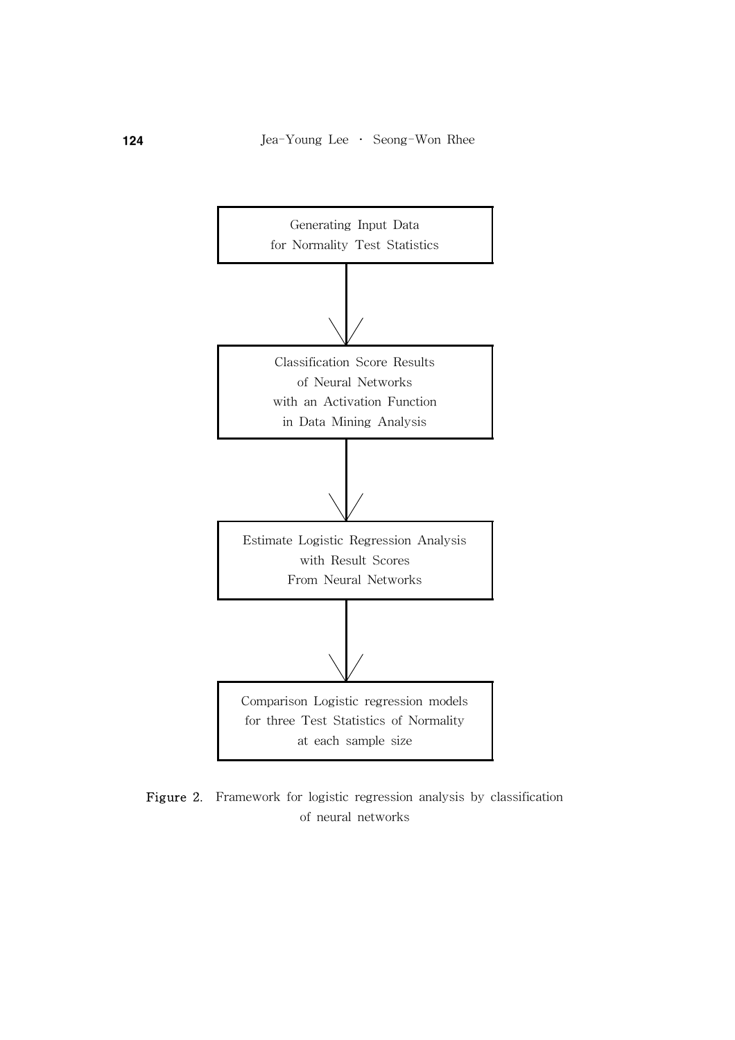

Figure 2. Framework for logistic regression analysis by classification of neural networks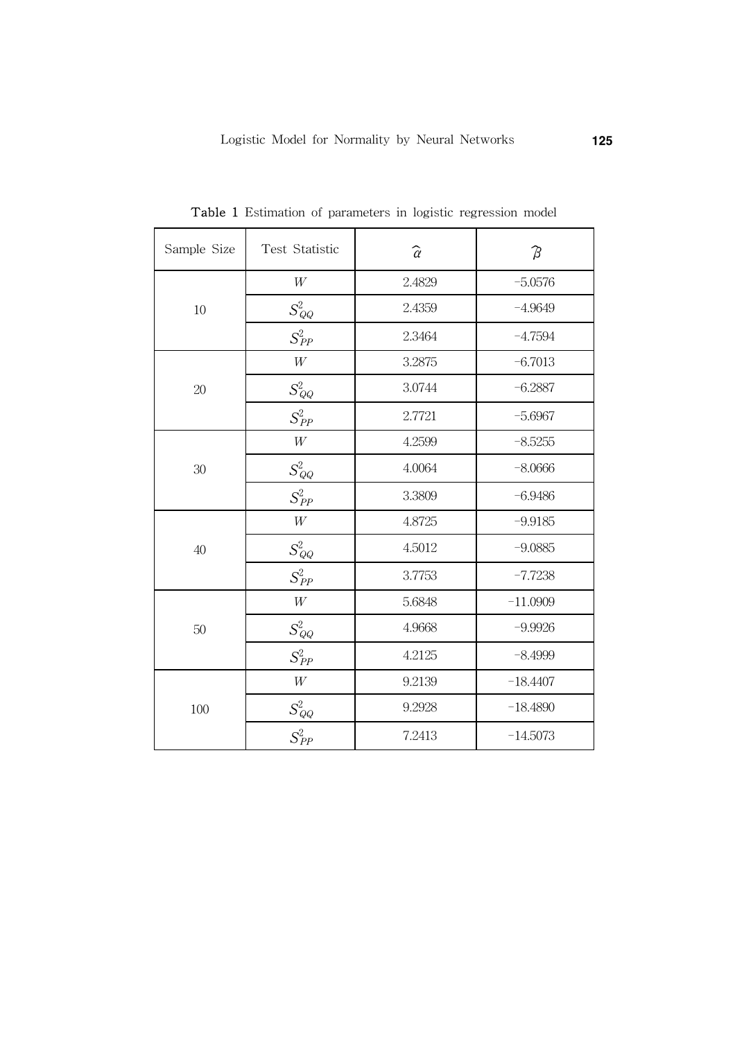| Sample Size | Test Statistic        | $\widehat{\alpha}$ | $\beta$    |
|-------------|-----------------------|--------------------|------------|
| 10          | $\ensuremath{W}$      | 2.4829             | $-5.0576$  |
|             | $S_{\mathit{QQ}}^2$   | 2.4359             | $-4.9649$  |
|             | $S^2_{PP}$            | 2.3464             | $-4.7594$  |
| 20          | $\ensuremath{W}$      | 3.2875             | $-6.7013$  |
|             | $S^2_{\mathcal{Q} Q}$ | 3.0744             | $-6.2887$  |
|             | $S_{PP}^2$            | 2.7721             | $-5.6967$  |
| 30          | $\ensuremath{W}$      | 4.2599             | $-8.5255$  |
|             | $S_{\mathit{QQ}}^2$   | 4.0064             | $-8.0666$  |
|             | $S_{PP}^2$            | 3.3809             | $-6.9486$  |
| 40          | $\ensuremath{W}$      | 4.8725             | $-9.9185$  |
|             | $S^2_{QQ}$            | 4.5012             | $-9.0885$  |
|             | $S_{PP}^2$            | 3.7753             | $-7.7238$  |
| 50          | $\ensuremath{W}$      | 5.6848             | $-11.0909$ |
|             | $S_{\mathit{QQ}}^2$   | 4.9668             | $-9.9926$  |
|             | $S^2_{PP}$            | 4.2125             | $-8.4999$  |
| 100         | $\ensuremath{W}$      | 9.2139             | $-18.4407$ |
|             | $S^2_{QQ}$            | 9.2928             | $-18.4890$ |
|             | $S^2_{PP}$            | 7.2413             | $-14.5073$ |

Table 1 Estimation of parameters in logistic regression model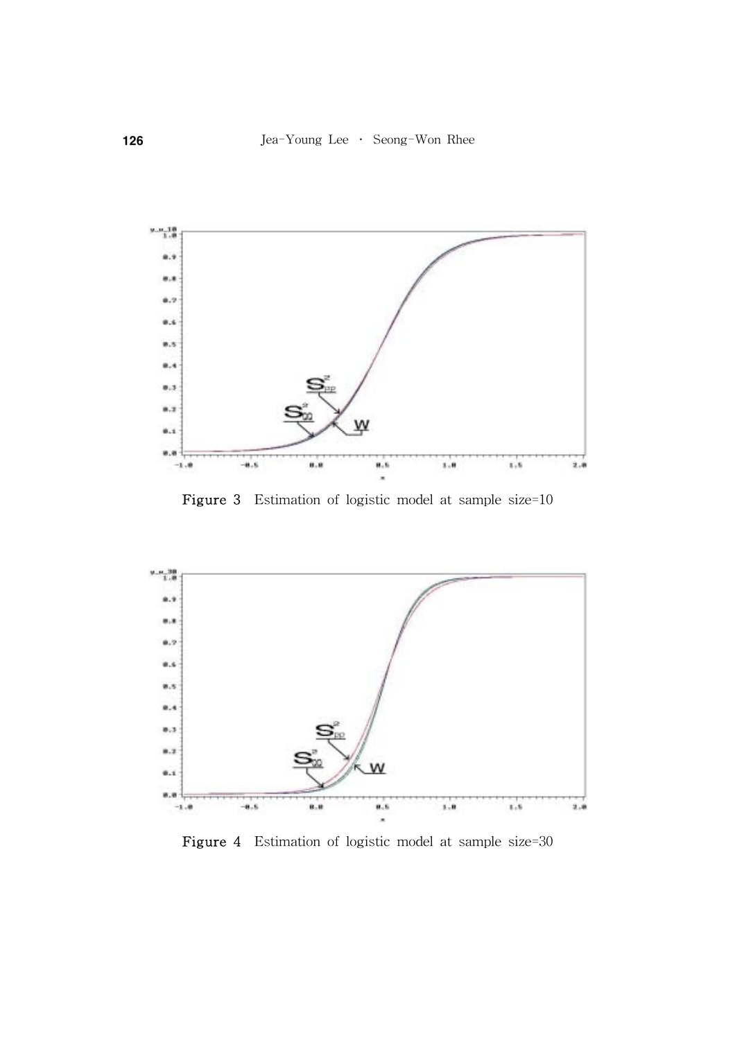

Figure 3 Estimation of logistic model at sample size=10



Figure 4 Estimation of logistic model at sample size=30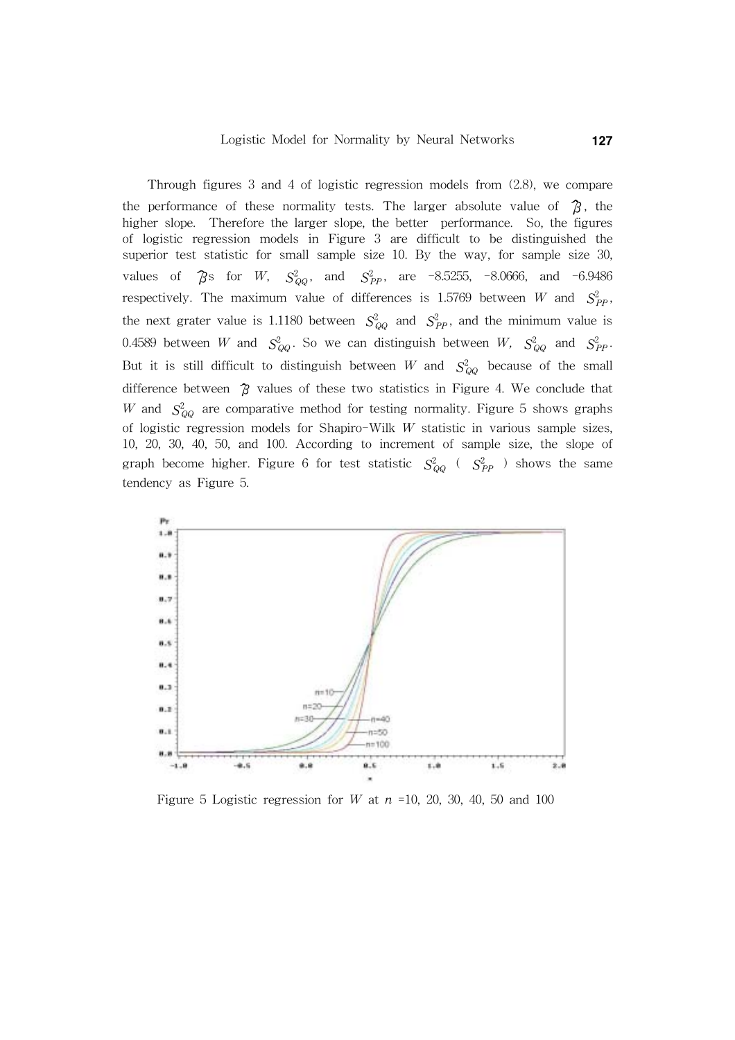Through figures 3 and 4 of logistic regression models from (2.8), we compare the performance of these normality tests. The larger absolute value of  $\mathcal{B}$ , the higher slope. Therefore the larger slope, the better performance. So, the figures of logistic regression models in Figure 3 are difficult to be distinguished the superior test statistic for small sample size 10. By the way, for sample size 30, values of  $\hat{\beta}$ s for W,  $S_{QQ}^2$ , and  $S_{PP}^2$ , are -8.5255, -8.0666, and -6.9486 respectively. The maximum value of differences is 1.5769 between W and  $S_{PP}^2$ , the next grater value is 1.1180 between  $S_{QQ}^2$  and  $S_{PP}^2$ , and the minimum value is 0.4589 between  $W$  and  $S_{QQ}^2$ . So we can distinguish between  $W$ ,  $S_{QQ}^2$  and  $S_{PP}^2$ . But it is still difficult to distinguish between W and  $S_{QQ}^2$  because of the small difference between  $\hat{B}$  values of these two statistics in Figure 4. We conclude that W and  $S_{QQ}^2$  are comparative method for testing normality. Figure 5 shows graphs of logistic regression models for Shapiro-Wilk W statistic in various sample sizes, 10, 20, 30, 40, 50, and 100. According to increment of sample size, the slope of graph become higher. Figure 6 for test statistic  $S_{QQ}^2$  (  $S_{PP}^2$  ) shows the same tendency as Figure 5.



Figure 5 Logistic regression for W at  $n = 10$ , 20, 30, 40, 50 and 100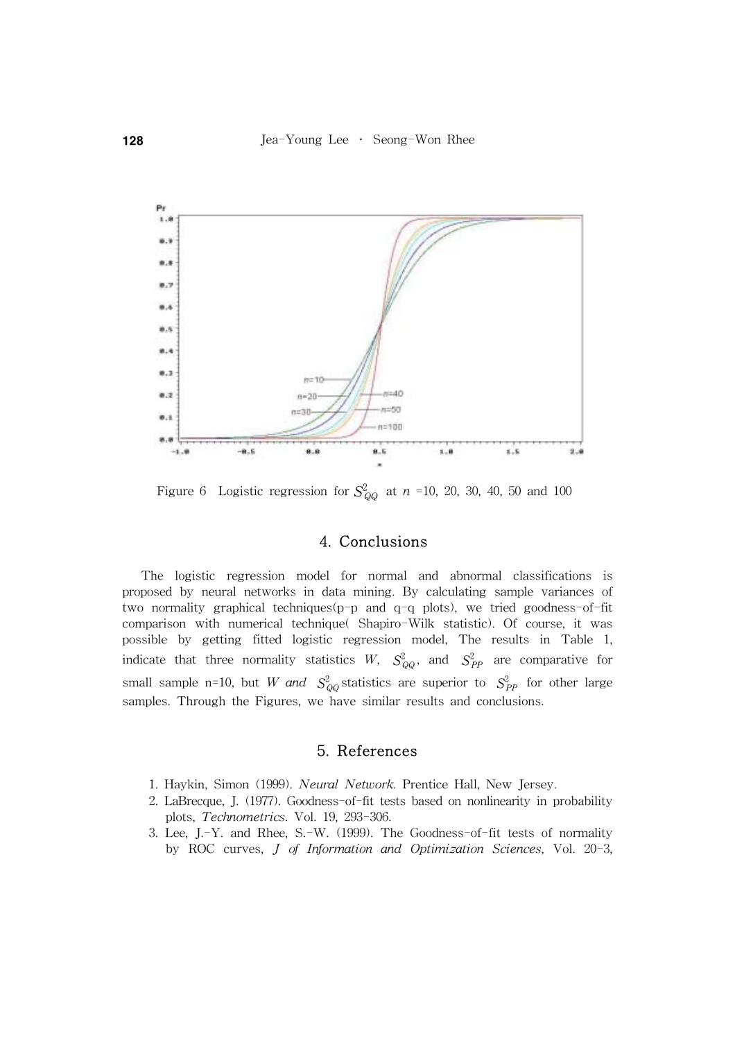

Figure 6 Logistic regression for  $S_{QQ}^2$  at  $n = 10, 20, 30, 40, 50$  and 100

## 4. Conclusions

 The logistic regression model for normal and abnormal classifications is proposed by neural networks in data mining. By calculating sample variances of two normality graphical techniques(p-p and q-q plots), we tried goodness-of-fit comparison with numerical technique( Shapiro-Wilk statistic). Of course, it was possible by getting fitted logistic regression model, The results in Table 1, indicate that three normality statistics  $W$ ,  $S_{QQ}^2$ , and  $S_{PP}^2$  are comparative for small sample n=10, but W and  $S_{QQ}^2$  statistics are superior to  $S_{PP}^2$  for other large samples. Through the Figures, we have similar results and conclusions.

## 5. References

- 1. Haykin, Simon (1999). Neural Network. Prentice Hall, New Jersey.
- 2. LaBrecque, J. (1977). Goodness-of-fit tests based on nonlinearity in probability plots, Technometrics. Vol. 19, 293-306.
- 3. Lee, J.-Y. and Rhee, S.-W. (1999). The Goodness-of-fit tests of normality by ROC curves, J of Information and Optimization Sciences, Vol. 20-3,